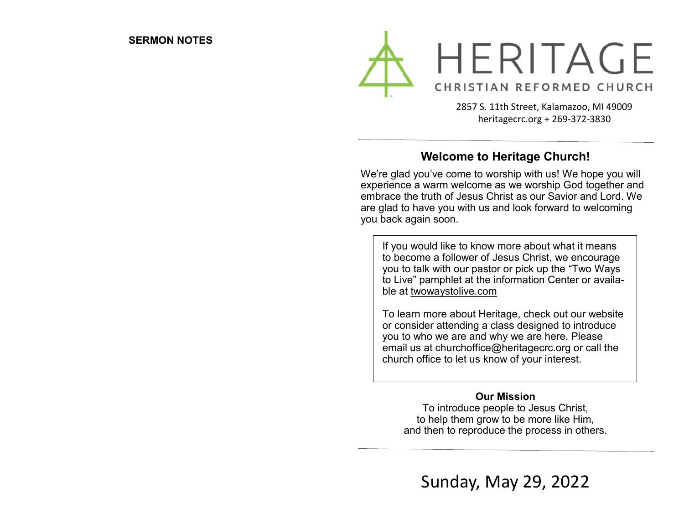

2857 S. 11th Street, Kalamazoo, MI 49009 heritagecrc.org + 269-372-3830

## **Welcome to Heritage Church!**

We're glad you've come to worship with us! We hope you will experience a warm welcome as we worship God together and embrace the truth of Jesus Christ as our Savior and Lord. We are glad to have you with us and look forward to welcoming you back again soon.

If you would like to know more about what it means to become a follower of Jesus Christ, we encourage you to talk with our pastor or pick up the "Two Ways to Live" pamphlet at the information Center or available at twowaystolive.com

To learn more about Heritage, check out our website or consider attending a class designed to introduce you to who we are and why we are here. Please email us at churchoffice@heritagecrc.org or call the church office to let us know of your interest.

#### **Our Mission**

To introduce people to Jesus Christ, to help them grow to be more like Him, and then to reproduce the process in others.

Sunday, May 29, 2022